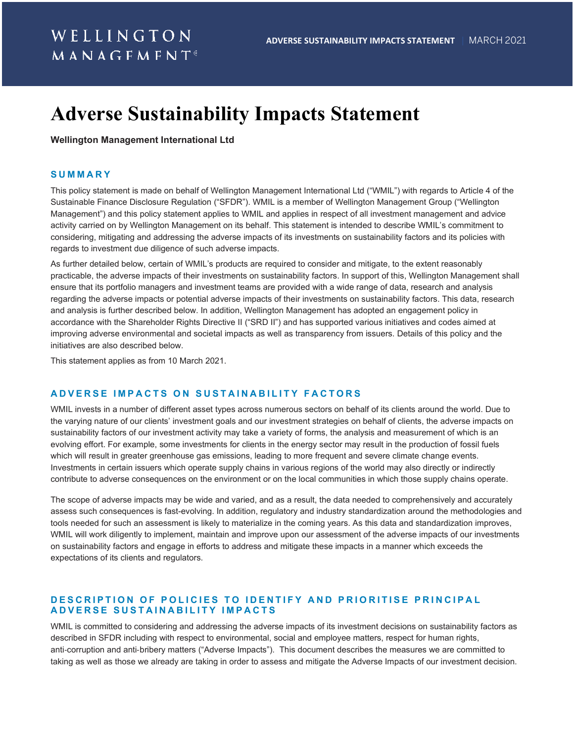# **Adverse Sustainability Impacts Statement**

#### **Wellington Management International Ltd**

#### **SUMMARY**

This policy statement is made on behalf of Wellington Management International Ltd ("WMIL") with regards to Article 4 of the Sustainable Finance Disclosure Regulation ("SFDR"). WMIL is a member of Wellington Management Group ("Wellington Management") and this policy statement applies to WMIL and applies in respect of all investment management and advice activity carried on by Wellington Management on its behalf. This statement is intended to describe WMIL's commitment to considering, mitigating and addressing the adverse impacts of its investments on sustainability factors and its policies with regards to investment due diligence of such adverse impacts.

As further detailed below, certain of WMIL's products are required to consider and mitigate, to the extent reasonably practicable, the adverse impacts of their investments on sustainability factors. In support of this, Wellington Management shall ensure that its portfolio managers and investment teams are provided with a wide range of data, research and analysis regarding the adverse impacts or potential adverse impacts of their investments on sustainability factors. This data, research and analysis is further described below. In addition, Wellington Management has adopted an engagement policy in accordance with the Shareholder Rights Directive II ("SRD II") and has supported various initiatives and codes aimed at improving adverse environmental and societal impacts as well as transparency from issuers. Details of this policy and the initiatives are also described below.

This statement applies as from 10 March 2021.

### **ADVERSE IMPACTS ON SUSTAINABILITY FACTORS**

WMIL invests in a number of different asset types across numerous sectors on behalf of its clients around the world. Due to the varying nature of our clients' investment goals and our investment strategies on behalf of clients, the adverse impacts on sustainability factors of our investment activity may take a variety of forms, the analysis and measurement of which is an evolving effort. For example, some investments for clients in the energy sector may result in the production of fossil fuels which will result in greater greenhouse gas emissions, leading to more frequent and severe climate change events. Investments in certain issuers which operate supply chains in various regions of the world may also directly or indirectly contribute to adverse consequences on the environment or on the local communities in which those supply chains operate.

The scope of adverse impacts may be wide and varied, and as a result, the data needed to comprehensively and accurately assess such consequences is fast-evolving. In addition, regulatory and industry standardization around the methodologies and tools needed for such an assessment is likely to materialize in the coming years. As this data and standardization improves, WMIL will work diligently to implement, maintain and improve upon our assessment of the adverse impacts of our investments on sustainability factors and engage in efforts to address and mitigate these impacts in a manner which exceeds the expectations of its clients and regulators.

# **DESCRIPTION OF POLICIES TO IDENTIFY AND PRIORITISE PRINCIPAL ADVERSE SUSTAINABILITY IMPACTS**

WMIL is committed to considering and addressing the adverse impacts of its investment decisions on sustainability factors as described in SFDR including with respect to environmental, social and employee matters, respect for human rights, anti‐corruption and anti‐bribery matters ("Adverse Impacts"). This document describes the measures we are committed to taking as well as those we already are taking in order to assess and mitigate the Adverse Impacts of our investment decision.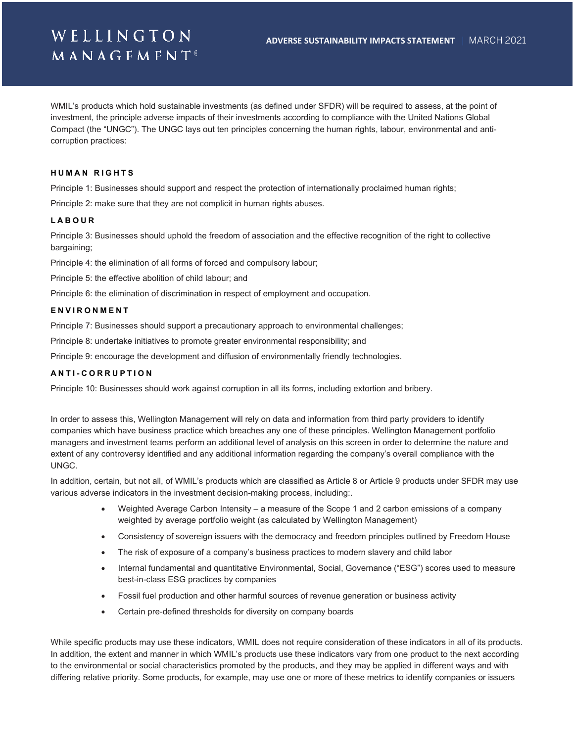# WELLINGTON **MANAGFMFNT**<sup>®</sup>

WMIL's products which hold sustainable investments (as defined under SFDR) will be required to assess, at the point of investment, the principle adverse impacts of their investments according to compliance with the United Nations Global Compact (the "UNGC"). The UNGC lays out ten principles concerning the human rights, labour, environmental and anticorruption practices:

#### **HUMAN RIGHTS**

Principle 1: Businesses should support and respect the protection of internationally proclaimed human rights;

Principle 2: make sure that they are not complicit in human rights abuses.

#### **LABOUR**

Principle 3: Businesses should uphold the freedom of association and the effective recognition of the right to collective bargaining;

Principle 4: the elimination of all forms of forced and compulsory labour;

Principle 5: the effective abolition of child labour; and

Principle 6: the elimination of discrimination in respect of employment and occupation.

#### **ENVIRONMENT**

Principle 7: Businesses should support a precautionary approach to environmental challenges;

Principle 8: undertake initiatives to promote greater environmental responsibility; and

Principle 9: encourage the development and diffusion of environmentally friendly technologies.

### **ANTI - CORRUPTION**

Principle 10: Businesses should work against corruption in all its forms, including extortion and bribery.

In order to assess this, Wellington Management will rely on data and information from third party providers to identify companies which have business practice which breaches any one of these principles. Wellington Management portfolio managers and investment teams perform an additional level of analysis on this screen in order to determine the nature and extent of any controversy identified and any additional information regarding the company's overall compliance with the UNGC.

In addition, certain, but not all, of WMIL's products which are classified as Article 8 or Article 9 products under SFDR may use various adverse indicators in the investment decision-making process, including:.

- Weighted Average Carbon Intensity a measure of the Scope 1 and 2 carbon emissions of a company weighted by average portfolio weight (as calculated by Wellington Management)
- Consistency of sovereign issuers with the democracy and freedom principles outlined by Freedom House
- The risk of exposure of a company's business practices to modern slavery and child labor
- Internal fundamental and quantitative Environmental, Social, Governance ("ESG") scores used to measure best-in-class ESG practices by companies
- Fossil fuel production and other harmful sources of revenue generation or business activity
- Certain pre-defined thresholds for diversity on company boards

While specific products may use these indicators, WMIL does not require consideration of these indicators in all of its products. In addition, the extent and manner in which WMIL's products use these indicators vary from one product to the next according to the environmental or social characteristics promoted by the products, and they may be applied in different ways and with differing relative priority. Some products, for example, may use one or more of these metrics to identify companies or issuers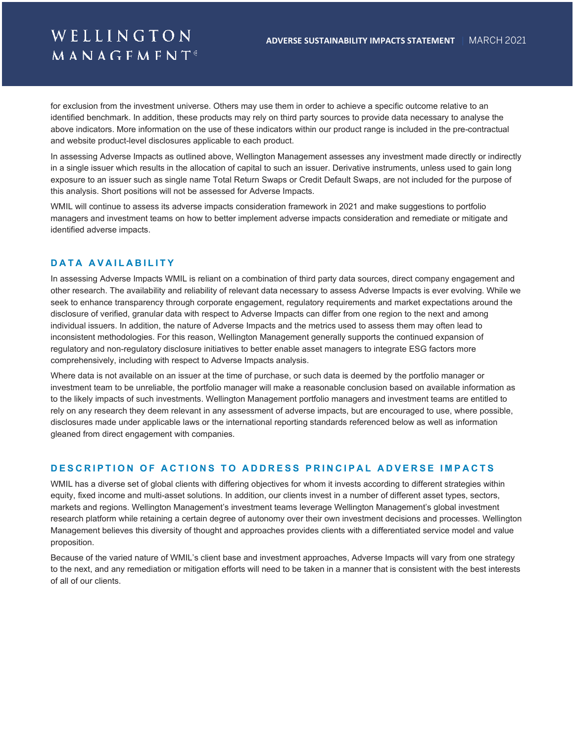# WELLINGTON **MANAGFMFNT**®

for exclusion from the investment universe. Others may use them in order to achieve a specific outcome relative to an identified benchmark. In addition, these products may rely on third party sources to provide data necessary to analyse the above indicators. More information on the use of these indicators within our product range is included in the pre-contractual and website product-level disclosures applicable to each product.

In assessing Adverse Impacts as outlined above, Wellington Management assesses any investment made directly or indirectly in a single issuer which results in the allocation of capital to such an issuer. Derivative instruments, unless used to gain long exposure to an issuer such as single name Total Return Swaps or Credit Default Swaps, are not included for the purpose of this analysis. Short positions will not be assessed for Adverse Impacts.

WMIL will continue to assess its adverse impacts consideration framework in 2021 and make suggestions to portfolio managers and investment teams on how to better implement adverse impacts consideration and remediate or mitigate and identified adverse impacts.

# **DATA AVAILABILITY**

In assessing Adverse Impacts WMIL is reliant on a combination of third party data sources, direct company engagement and other research. The availability and reliability of relevant data necessary to assess Adverse Impacts is ever evolving. While we seek to enhance transparency through corporate engagement, regulatory requirements and market expectations around the disclosure of verified, granular data with respect to Adverse Impacts can differ from one region to the next and among individual issuers. In addition, the nature of Adverse Impacts and the metrics used to assess them may often lead to inconsistent methodologies. For this reason, Wellington Management generally supports the continued expansion of regulatory and non-regulatory disclosure initiatives to better enable asset managers to integrate ESG factors more comprehensively, including with respect to Adverse Impacts analysis.

Where data is not available on an issuer at the time of purchase, or such data is deemed by the portfolio manager or investment team to be unreliable, the portfolio manager will make a reasonable conclusion based on available information as to the likely impacts of such investments. Wellington Management portfolio managers and investment teams are entitled to rely on any research they deem relevant in any assessment of adverse impacts, but are encouraged to use, where possible, disclosures made under applicable laws or the international reporting standards referenced below as well as information gleaned from direct engagement with companies.

### **DESCRIPTION OF ACTIONS TO ADDRESS PRINCIPAL ADVERSE IMPACTS**

WMIL has a diverse set of global clients with differing objectives for whom it invests according to different strategies within equity, fixed income and multi-asset solutions. In addition, our clients invest in a number of different asset types, sectors, markets and regions. Wellington Management's investment teams leverage Wellington Management's global investment research platform while retaining a certain degree of autonomy over their own investment decisions and processes. Wellington Management believes this diversity of thought and approaches provides clients with a differentiated service model and value proposition.

Because of the varied nature of WMIL's client base and investment approaches, Adverse Impacts will vary from one strategy to the next, and any remediation or mitigation efforts will need to be taken in a manner that is consistent with the best interests of all of our clients.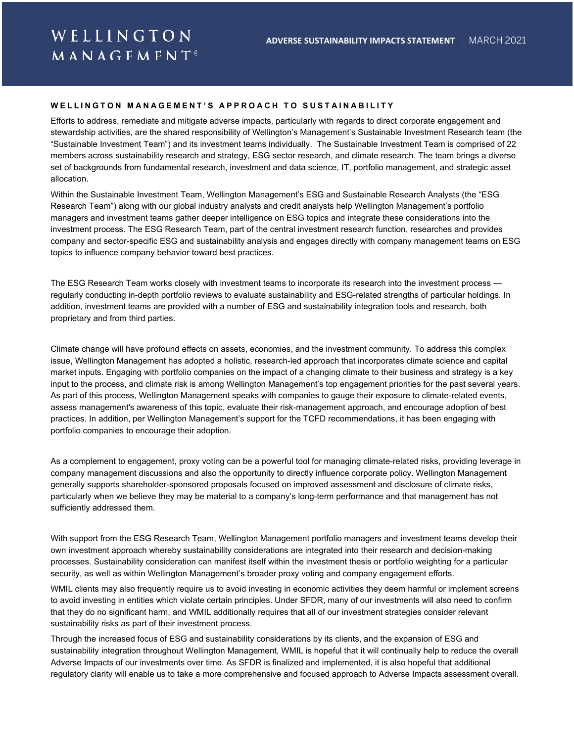#### **W E L LINGTON MANAGEMENT'S APPROACH TO SUSTAINABILITY**

Efforts to address, remediate and mitigate adverse impacts, particularly with regards to direct corporate engagement and stewardship activities, are the shared responsibility of Wellington's Management's Sustainable Investment Research team (the "Sustainable Investment Team") and its investment teams individually. The Sustainable Investment Team is comprised of 22 members across sustainability research and strategy, ESG sector research, and climate research. The team brings a diverse set of backgrounds from fundamental research, investment and data science, IT, portfolio management, and strategic asset allocation.

Within the Sustainable Investment Team, Wellington Management's ESG and Sustainable Research Analysts (the "ESG Research Team") along with our global industry analysts and credit analysts help Wellington Management's portfolio managers and investment teams gather deeper intelligence on ESG topics and integrate these considerations into the investment process. The ESG Research Team, part of the central investment research function, researches and provides company and sector-specific ESG and sustainability analysis and engages directly with company management teams on ESG topics to influence company behavior toward best practices.

The ESG Research Team works closely with investment teams to incorporate its research into the investment process regularly conducting in-depth portfolio reviews to evaluate sustainability and ESG-related strengths of particular holdings. In addition, investment teams are provided with a number of ESG and sustainability integration tools and research, both proprietary and from third parties.

Climate change will have profound effects on assets, economies, and the investment community. To address this complex issue, Wellington Management has adopted a holistic, research-led approach that incorporates climate science and capital market inputs. Engaging with portfolio companies on the impact of a changing climate to their business and strategy is a key input to the process, and climate risk is among Wellington Management's top engagement priorities for the past several years. As part of this process, Wellington Management speaks with companies to gauge their exposure to climate-related events, assess management's awareness of this topic, evaluate their risk-management approach, and encourage adoption of best practices. In addition, per Wellington Management's support for the TCFD recommendations, it has been engaging with portfolio companies to encourage their adoption.

As a complement to engagement, proxy voting can be a powerful tool for managing climate-related risks, providing leverage in company management discussions and also the opportunity to directly influence corporate policy. Wellington Management generally supports shareholder-sponsored proposals focused on improved assessment and disclosure of climate risks, particularly when we believe they may be material to a company's long-term performance and that management has not sufficiently addressed them.

With support from the ESG Research Team, Wellington Management portfolio managers and investment teams develop their own investment approach whereby sustainability considerations are integrated into their research and decision-making processes. Sustainability consideration can manifest itself within the investment thesis or portfolio weighting for a particular security, as well as within Wellington Management's broader proxy voting and company engagement efforts.

WMIL clients may also frequently require us to avoid investing in economic activities they deem harmful or implement screens to avoid investing in entities which violate certain principles. Under SFDR, many of our investments will also need to confirm that they do no significant harm, and WMIL additionally requires that all of our investment strategies consider relevant sustainability risks as part of their investment process.

Through the increased focus of ESG and sustainability considerations by its clients, and the expansion of ESG and sustainability integration throughout Wellington Management, WMIL is hopeful that it will continually help to reduce the overall Adverse Impacts of our investments over time. As SFDR is finalized and implemented, it is also hopeful that additional regulatory clarity will enable us to take a more comprehensive and focused approach to Adverse Impacts assessment overall.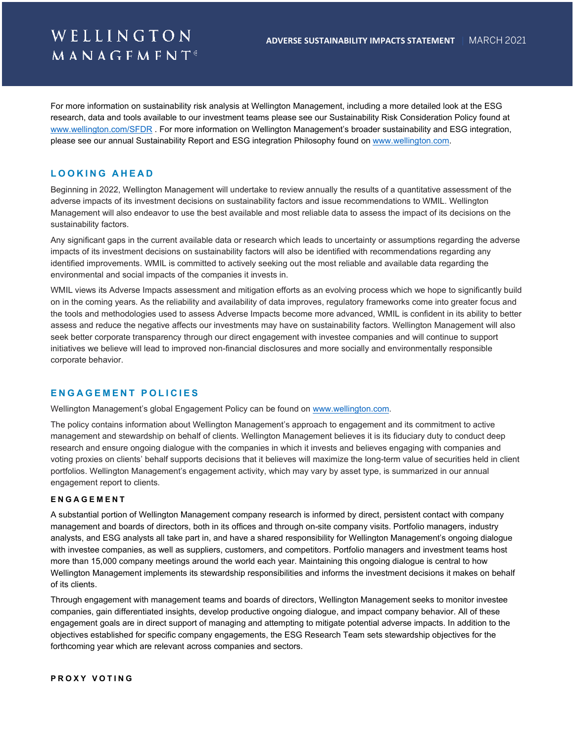# WELLINGTON  $M$  A N A G F M F N T<sup>®</sup>

For more information on sustainability risk analysis at Wellington Management, including a more detailed look at the ESG research, data and tools available to our investment teams please see our Sustainability Risk Consideration Policy found at [www.wellington.com/SFDR](http://www.wellington.com/SFDR) . For more information on Wellington Management's broader sustainability and ESG integration, please see our annual Sustainability Report and ESG integration Philosophy found o[n www.wellington.com.](http://www.wellington.com/)

### **LOOKING AHEAD**

Beginning in 2022, Wellington Management will undertake to review annually the results of a quantitative assessment of the adverse impacts of its investment decisions on sustainability factors and issue recommendations to WMIL. Wellington Management will also endeavor to use the best available and most reliable data to assess the impact of its decisions on the sustainability factors.

Any significant gaps in the current available data or research which leads to uncertainty or assumptions regarding the adverse impacts of its investment decisions on sustainability factors will also be identified with recommendations regarding any identified improvements. WMIL is committed to actively seeking out the most reliable and available data regarding the environmental and social impacts of the companies it invests in.

WMIL views its Adverse Impacts assessment and mitigation efforts as an evolving process which we hope to significantly build on in the coming years. As the reliability and availability of data improves, regulatory frameworks come into greater focus and the tools and methodologies used to assess Adverse Impacts become more advanced, WMIL is confident in its ability to better assess and reduce the negative affects our investments may have on sustainability factors. Wellington Management will also seek better corporate transparency through our direct engagement with investee companies and will continue to support initiatives we believe will lead to improved non-financial disclosures and more socially and environmentally responsible corporate behavior.

### **E NGAGEMENT POLIC IES**

Wellington Management's global Engagement Policy can be found o[n www.wellington.com.](http://www.wellington.com/)

The policy contains information about Wellington Management's approach to engagement and its commitment to active management and stewardship on behalf of clients. Wellington Management believes it is its fiduciary duty to conduct deep research and ensure ongoing dialogue with the companies in which it invests and believes engaging with companies and voting proxies on clients' behalf supports decisions that it believes will maximize the long-term value of securities held in client portfolios. Wellington Management's engagement activity, which may vary by asset type, is summarized in our annual engagement report to clients.

#### **ENGAGEM ENT**

A substantial portion of Wellington Management company research is informed by direct, persistent contact with company management and boards of directors, both in its offices and through on-site company visits. Portfolio managers, industry analysts, and ESG analysts all take part in, and have a shared responsibility for Wellington Management's ongoing dialogue with investee companies, as well as suppliers, customers, and competitors. Portfolio managers and investment teams host more than 15,000 company meetings around the world each year. Maintaining this ongoing dialogue is central to how Wellington Management implements its stewardship responsibilities and informs the investment decisions it makes on behalf of its clients.

Through engagement with management teams and boards of directors, Wellington Management seeks to monitor investee companies, gain differentiated insights, develop productive ongoing dialogue, and impact company behavior. All of these engagement goals are in direct support of managing and attempting to mitigate potential adverse impacts. In addition to the objectives established for specific company engagements, the ESG Research Team sets stewardship objectives for the forthcoming year which are relevant across companies and sectors.

**PROXY VOTING**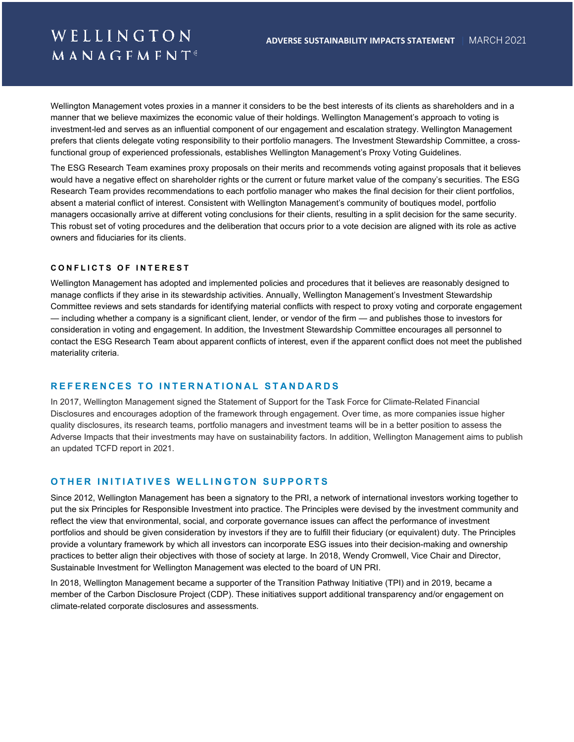# WELLINGTON **MANAGFMFNT**®

Wellington Management votes proxies in a manner it considers to be the best interests of its clients as shareholders and in a manner that we believe maximizes the economic value of their holdings. Wellington Management's approach to voting is investment-led and serves as an influential component of our engagement and escalation strategy. Wellington Management prefers that clients delegate voting responsibility to their portfolio managers. The Investment Stewardship Committee, a crossfunctional group of experienced professionals, establishes Wellington Management's Proxy Voting Guidelines.

The ESG Research Team examines proxy proposals on their merits and recommends voting against proposals that it believes would have a negative effect on shareholder rights or the current or future market value of the company's securities. The ESG Research Team provides recommendations to each portfolio manager who makes the final decision for their client portfolios, absent a material conflict of interest. Consistent with Wellington Management's community of boutiques model, portfolio managers occasionally arrive at different voting conclusions for their clients, resulting in a split decision for the same security. This robust set of voting procedures and the deliberation that occurs prior to a vote decision are aligned with its role as active owners and fiduciaries for its clients.

#### **CONFLICTS OF INTEREST**

Wellington Management has adopted and implemented policies and procedures that it believes are reasonably designed to manage conflicts if they arise in its stewardship activities. Annually, Wellington Management's Investment Stewardship Committee reviews and sets standards for identifying material conflicts with respect to proxy voting and corporate engagement — including whether a company is a significant client, lender, or vendor of the firm — and publishes those to investors for consideration in voting and engagement. In addition, the Investment Stewardship Committee encourages all personnel to contact the ESG Research Team about apparent conflicts of interest, even if the apparent conflict does not meet the published materiality criteria.

# **REFERENCES TO INTERNATIONAL STANDARDS**

In 2017, Wellington Management signed the Statement of Support for the Task Force for Climate-Related Financial Disclosures and encourages adoption of the framework through engagement. Over time, as more companies issue higher quality disclosures, its research teams, portfolio managers and investment teams will be in a better position to assess the Adverse Impacts that their investments may have on sustainability factors. In addition, Wellington Management aims to publish an updated TCFD report in 2021.

### **OTHER INITIATIVES WELLINGTON SUPPORTS**

Since 2012, Wellington Management has been a signatory to the PRI, a network of international investors working together to put the six Principles for Responsible Investment into practice. The Principles were devised by the investment community and reflect the view that environmental, social, and corporate governance issues can affect the performance of investment portfolios and should be given consideration by investors if they are to fulfill their fiduciary (or equivalent) duty. The Principles provide a voluntary framework by which all investors can incorporate ESG issues into their decision-making and ownership practices to better align their objectives with those of society at large. In 2018, Wendy Cromwell, Vice Chair and Director, Sustainable Investment for Wellington Management was elected to the board of UN PRI.

In 2018, Wellington Management became a supporter of the Transition Pathway Initiative (TPI) and in 2019, became a member of the Carbon Disclosure Project (CDP). These initiatives support additional transparency and/or engagement on climate-related corporate disclosures and assessments.